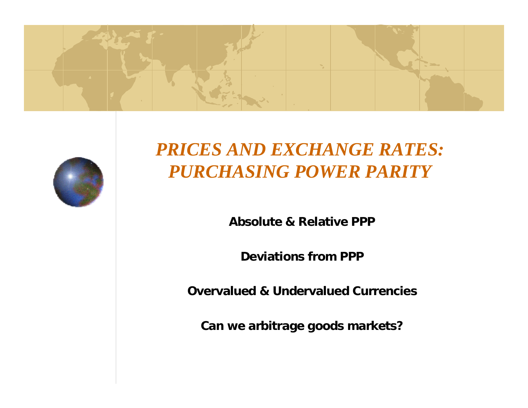



# *PRICES AND EXCHANGE RATES: PURCHASING POWER PARITY*

**Absolute & R elative PPP** 

**Deviations from PPP**

**Overvalued & Undervalued Currencies**

**Can we arbitrage goods markets?**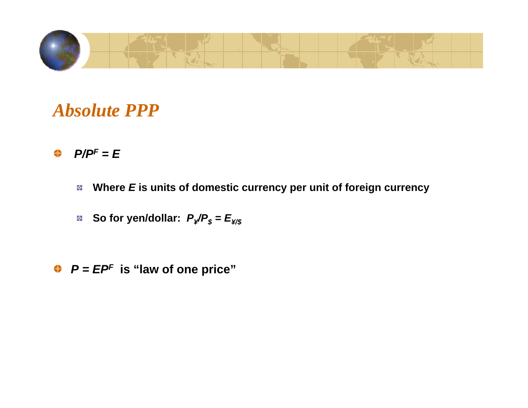

#### *Absolute PPP*

#### $P/P<sup>F</sup> = E$ ♠

- ł. **Where** *E* **is units of domestic currency per unit of foreign currency**
- **So for yen/dollar:**  $P_{\cancel{x}}/P_{\cancel{x}} = E_{\cancel{x}/\cancel{x}}$

*P = EPF* **is "law of one price"**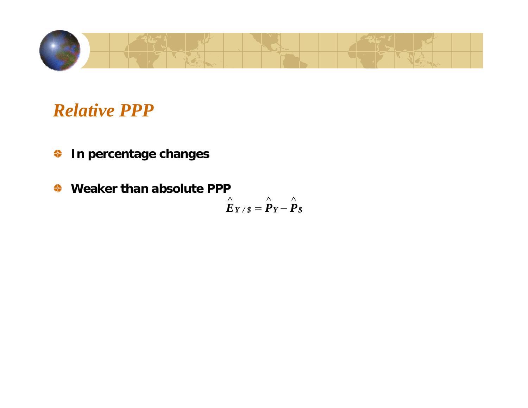

*Relative PPP*

- **In percentage changes** ⇔
- ⇔ **Weaker than absolute PPP** ∧ ∧ ∧  $E_{Y/S} = P_Y - P_S$  $= r -$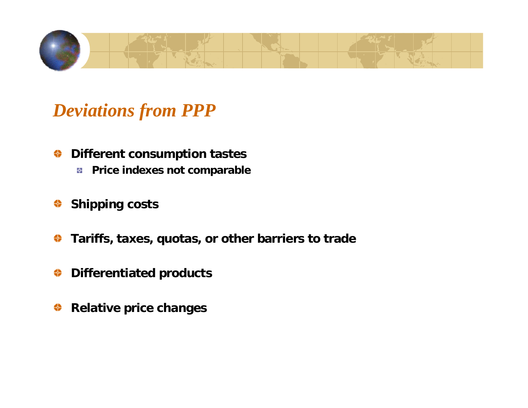

# *Deviations from PPP*

- **Different consumption tastes** ⇔
	- **Pri ce indexes not compara ble**
- **Shipping costs** ⇔
- ⇔ **Tariffs, taxes, quotas, or other b arriers to trade**
- **Differentiated products** ⇔
- **Relative price changes**⇔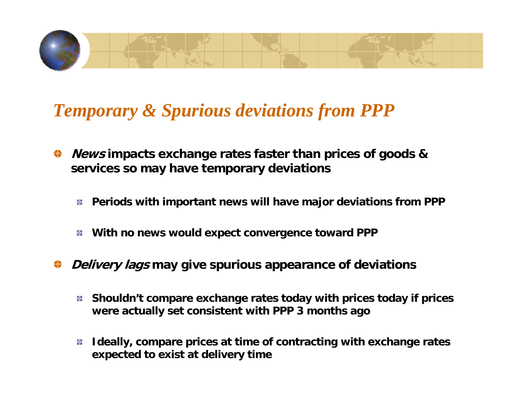

# *Temporary & Spurious deviations from PPP*

- **News impacts exchange rates faster than prices of goods &**  ⇔ **services so may have temporary deviations**
	- **Periods with i mportant news will h ave major deviations from PPP** ÷.
	- **With no news would expect convergence toward PPP** ł.
- **Delivery lags may give spurious appearance of deviations**
	- **Shouldn't compare exchange rates today with pri ces today if prices**  ۰ **were actually set con sistent with PPP 3 months a g o**
	- **Ideally, compare prices at time of contracting with exchange rates**  ቝ **expected to exist at delivery time**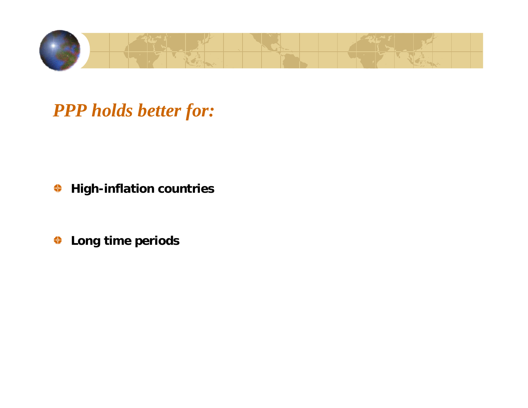

*PPP holds better for:*

**High-inflation countries** ⇔

**Long time periods**♦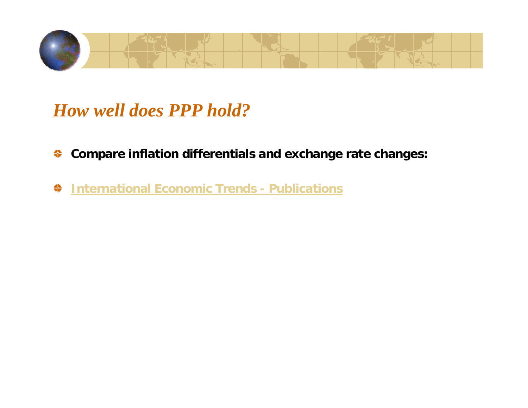

#### *How well does PPP hold?*

- **Compare inflation differentials and exchange rate changes:** ⇔
- ⇔ **Int[ernational Economic Trends -](http://www.stls.frb.org/publications/iet) Publications**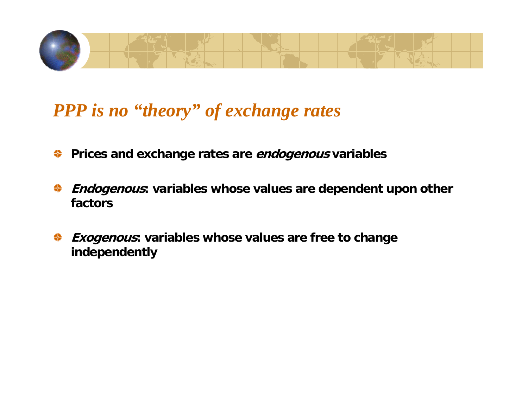

# *PPP is no "theory" of exchange rates*

- **Prices and exchange rates are endogenous variables** ⇔
- **Endogenous: variables whose values are dependent upon other**  ₩ **factors**
- **Exogenous: variables whose values are free to change**  ⇔ **indep endently**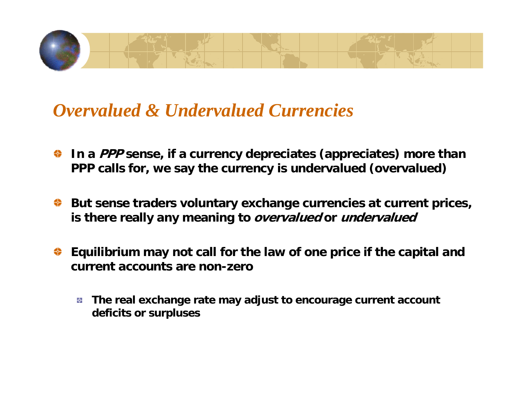

#### *Overvalued & Undervalued Currencies*

- **In a PPP sense, if a currency depreciates (appreciates) more than**  ⇔ **PPP calls for, we say the currency is undervalued (overvalued)**
- **But sense traders voluntary exchange currencies at current prices, is there really any meaning to overvalued or undervalued**
- **Equilibrium may not call for the law of one price if the capital and current accounts are non-zero**
	- **The real exchange rate may adjust to encourage current account**  ÷, **deficits or surpluses**